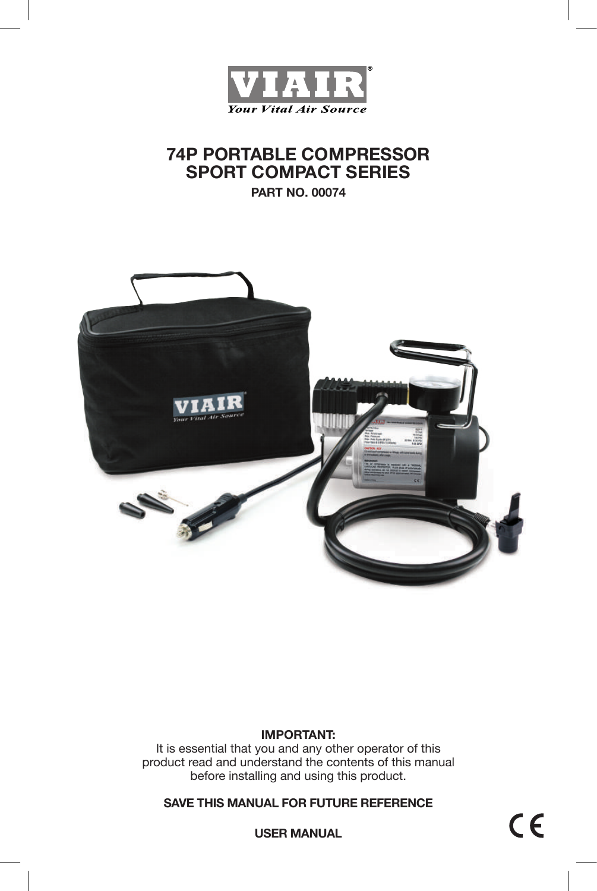

# **74P PORTABLE COMPRESSOR SPORT COMPACT SERIES**

**PART NO. 00074**



### **IMPORTANT:**

It is essential that you and any other operator of this product read and understand the contents of this manual before installing and using this product.

**SAVE THIS MANUAL FOR FUTURE REFERENCE**

**USER MANUAL**

 $C \in$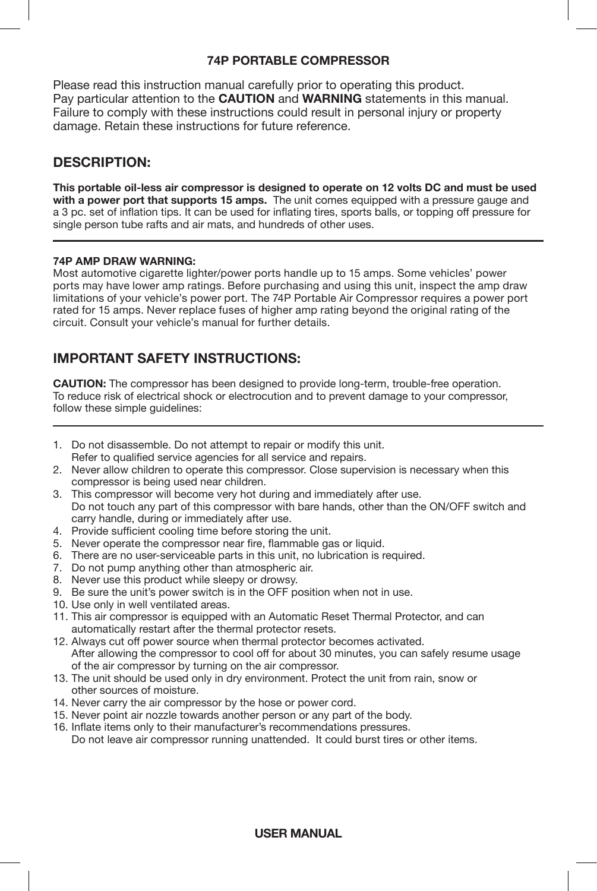### **74P PORTABLE COMPRESSOR**

Please read this instruction manual carefully prior to operating this product. Pay particular attention to the **CAUTION** and **WARNING** statements in this manual. Failure to comply with these instructions could result in personal injury or property damage. Retain these instructions for future reference.

### **DESCRIPTION:**

**This portable oil-less air compressor is designed to operate on 12 volts DC and must be used with a power port that supports 15 amps.** The unit comes equipped with a pressure gauge and a 3 pc. set of inflation tips. It can be used for inflating tires, sports balls, or topping off pressure for single person tube rafts and air mats, and hundreds of other uses.

#### **74P AMP DRAW WARNING:**

Most automotive cigarette lighter/power ports handle up to 15 amps. Some vehicles' power ports may have lower amp ratings. Before purchasing and using this unit, inspect the amp draw limitations of your vehicle's power port. The 74P Portable Air Compressor requires a power port rated for 15 amps. Never replace fuses of higher amp rating beyond the original rating of the circuit. Consult your vehicle's manual for further details.

### **IMPORTANT SAFETY INSTRUCTIONS:**

**CAUTION:** The compressor has been designed to provide long-term, trouble-free operation. To reduce risk of electrical shock or electrocution and to prevent damage to your compressor, follow these simple guidelines:

- 1. Do not disassemble. Do not attempt to repair or modify this unit. Refer to qualified service agencies for all service and repairs.
- 2. Never allow children to operate this compressor. Close supervision is necessary when this compressor is being used near children.
- 3. This compressor will become very hot during and immediately after use. Do not touch any part of this compressor with bare hands, other than the ON/OFF switch and carry handle, during or immediately after use.
- 4. Provide sufficient cooling time before storing the unit.
- 5. Never operate the compressor near fire, flammable gas or liquid.
- 6. There are no user-serviceable parts in this unit, no lubrication is required.
- 7. Do not pump anything other than atmospheric air.
- 8. Never use this product while sleepy or drowsy.
- 9. Be sure the unit's power switch is in the OFF position when not in use.
- 10. Use only in well ventilated areas.
- 11. This air compressor is equipped with an Automatic Reset Thermal Protector, and can automatically restart after the thermal protector resets.
- 12. Always cut off power source when thermal protector becomes activated. After allowing the compressor to cool off for about 30 minutes, you can safely resume usage of the air compressor by turning on the air compressor.
- 13. The unit should be used only in dry environment. Protect the unit from rain, snow or other sources of moisture.
- 14. Never carry the air compressor by the hose or power cord.
- 15. Never point air nozzle towards another person or any part of the body.
- 16. Inflate items only to their manufacturer's recommendations pressures. Do not leave air compressor running unattended. It could burst tires or other items.

### **USER MANUAL**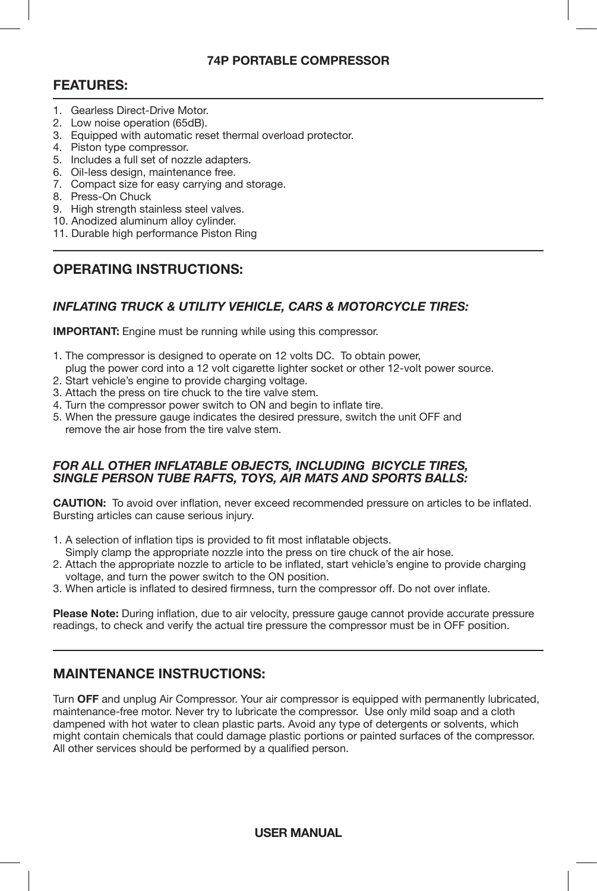### **74P PORTABLE COMPRESSOR**

### **FEATURES:**

- 1. Gearless Direct-Drive Motor.
- 2. Low noise operation (65dB).
- 3. Equipped with automatic reset thermal overload protector.
- 4. Piston type compressor.
- 5. Includes a full set of nozzle adapters.
- 6. Oil-less design, maintenance free.
- 7. Compact size for easy carrying and storage.
- 8. Press-On Chuck
- 9. High strength stainless steel valves.
- 10. Anodized aluminum alloy cylinder.
- 11. Durable high performance Piston Ring

## **OPERATING INSTRUCTIONS:**

### *INFLATING TRUCK & UTILITY VEHICLE, CARS & MOTORCYCLE TIRES:*

**IMPORTANT:** Engine must be running while using this compressor.

- 1. The compressor is designed to operate on 12 volts DC. To obtain power,
- plug the power cord into a 12 volt cigarette lighter socket or other 12-volt power source.
- 2. Start vehicle's engine to provide charging voltage.
- 3. Attach the press on tire chuck to the tire valve stem.
- 4. Turn the compressor power switch to ON and begin to inflate tire.
- 5. When the pressure gauge indicates the desired pressure, switch the unit OFF and remove the air hose from the tire valve stem.

#### *FOR ALL OTHER INFLATABLE OBJECTS, INCLUDING BICYCLE TIRES, SINGLE PERSON TUBE RAFTS, TOYS, AIR MATS AND SPORTS BALLS:*

**CAUTION:** To avoid over inflation, never exceed recommended pressure on articles to be inflated. Bursting articles can cause serious injury.

- 1. A selection of inflation tips is provided to fit most inflatable objects. Simply clamp the appropriate nozzle into the press on tire chuck of the air hose.
- 2. Attach the appropriate nozzle to article to be inflated, start vehicle's engine to provide charging voltage, and turn the power switch to the ON position.
- 3. When article is inflated to desired firmness, turn the compressor off. Do not over inflate.

**Please Note:** During inflation, due to air velocity, pressure gauge cannot provide accurate pressure readings, to check and verify the actual tire pressure the compressor must be in OFF position.

# **MAINTENANCE INSTRUCTIONS:**

Turn **OFF** and unplug Air Compressor. Your air compressor is equipped with permanently lubricated, maintenance-free motor. Never try to lubricate the compressor. Use only mild soap and a cloth dampened with hot water to clean plastic parts. Avoid any type of detergents or solvents, which might contain chemicals that could damage plastic portions or painted surfaces of the compressor. All other services should be performed by a qualified person.

**USER MANUAL**